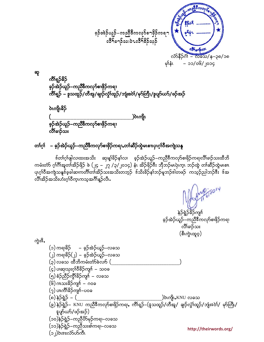$$
\frac{1}{25}
$$

ဆူ

ကိရ္နှဉ်နိဉ် ခ့ဉ်အဲဉ်ယူဉ်–ကညီ<sup>8ွ</sup>ကလု<mark>ာ်စ၊</mark>ဖှိဉ်ကရ၊ ကိၢိရ္၌ – နသထူဉ်/တီအူ/ချည်လွှံ\ထူဉ်/ဘျံးဒဝဲ\/မု၁်တြီ\/နုပျာ်ယာ်/ဖဉ်အဉ် **ဲ**ဂကျိုးနိဉ် ၂)လျော လိႆါ်ခၢဉ်သး

#### တၢ်ဂ္၊် – ခ့ဉ်အဲဉ်ယူဉ်–ကညီဒီကလု>်စၢဖိုဉ်ကရၢႇတၢ်ဆိဉ်ထွဲမၤစၢၤပှၤဂ္ဂၢ်ဝီအကျဲသနူ

<sup>န့်</sup>တၢ်ဂ္໋ှုဖျါလ၊ထးအသိး ဆု၊န္ၗါခိဉ်နှၤ်လ၊ ခ့ဉ်အဲဉ်ယူဉ်−ကညီ<sup>8ွ</sup>ကလှာ်စ၊ဖိုဉ်ကရ၊လိၤ်ခ၊ဉ်သးထီဘိ ကမံးတံာ် ဂုၢိဂိၢိအူတၢိအိဉ်ဖြိဉ် ဖဲ (၂၄ – ၂၇ /၃/၂၀၁၄) နံ၊ အိဉ်ဖြဉ််းး ဘိုဘဉ်မယှဲကာ ဘဉ်ထွဲ တၢ်ဆီဉ်ထွဲမပစ္စ။ ပျက်ဝီအကျဲသနှုဒ်ခဲ့ခါဆက်တိုက်ကိန်ဉ်သီးအသိုးတဘုဉ်<sup>း</sup>ဒ်သိုးခိဉ်နှုတ်ဉ်မှုဘဉ်ဒါတဖဉ် ကသုဉ်ညါဘဉ်ဒီး ဒ်အ လိၤ်အိဉ်အသိးဟႆးဂ္ၫ်ဝီက္နကသူအဂၢိန္ဉ်ာလီး.

> န}ရွဲ}<sup>8</sup>ဉ်ကျ<sup>ှ</sup> ခ့ဉ်အဲဉ်ယူဉ်–ကညီ<sup>8ွ</sup>ကလုာ်စ၊ဖ<mark>ိ</mark>ုဉ်ကရ၊ ືດ5ຳລ}ັລ**း** (စီးကွဲၤထူဝ့)

ကွဲး<sup>8</sup>,

(၁) ကရာဓိဉ် – ခ့ဉ်အဲဉ်ယူဉ်–လခသ (၂) ကရာဓိဉ်(၂) – ခ့ဉ်အဲဉ်ယူဉ်–လခသ (၃) လခသ ထီဘိကမံးတံာ်ခဲလက် ( (၄) ပါဆုုသုံးဂုၤ်ဝီခိဉ်ကျၤ် – သဝခ (၅)စံဉ်ညီဉ်ကွိ<sup>ရ</sup>န်ဉ်ကျ<sup>ရ်</sup> – လခသ  $(\widetilde{\mathsf{G}})$  ဂπသးခိဉ်ကျ $\mathsf{\hat{n}}$  – ဂဝခ  $(2)$  ပπကီိ $185$ ကျ $1 -$ ပဝခ (၈) နု၄<u>ဲရွ</u>ှိ – (၂ ့)ဝဲၤကိုၤႇKNU လခသ (၉) နဲဉ်ရွှဲဉ်– KNU ကညီ<sup>8</sup>ကလုာ်စ၊ဖိုဉ်ကရ၊န ကိၢရှဉ်–(ဒူသထူဉ်/တီအူ/ ချာ်လွှဲ၊်ထူဉ်/ဘုံးဒဝဲ၊်/ *မု*ာ်တြီ၊/ နပျာ်ယာ်/ဖဉ်အဉ်) (၁၀)နဲဉ်ရွဲဉ်–ကညီဟိနမှ်ကရ၊–လခသ (၁၁)နဲဉ်ရွဲဉ်–ကညီသးစါကရ၊–လခသ http://theirwords.org/ (၁၂) ဝဲးဒးလံာ်ပာ်ကီး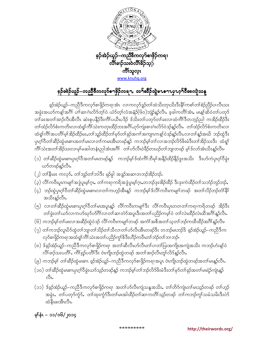

# ခ့ဉ်ခဲန်ာယူဉ်–ကညီ့ဒီကလုဉ်ခ႑ဖြိန်ကရ႑, တ႑်ဆီဉ်ထွဲမၤဓ႑ၤပှၤဝ့႑်ဒီအကျဲသနူ

ခ့ဉ်အဲဉ်ယူဉ်–ကညီဒီကလုာ်စ၊ဖှိဉ်ကရ၊အံၤ လ၊ကလုာ်ဒူဉ်တၢ်ထဲသိးတုၤသိးဒီးနိ<sup>ု</sup>ကစၢ်တၢ်စံဉ်ညိဉ်ပ၊လီၤသး အခွဲးအယာ်ကန့်္သအဂိၢ် ပၢါဆ၊ဂဲၤလိ၁်တု၊်ဝဲ ယံ၁်တု၊်လံအနံဉ်(၆၀)ဘျဲာ်နဉ်လိၤ. ခ့ခါကတိၢ်အံၤ, မၤန္၊်ဆိဝဲတ၊်ပတု၁် တၢ်ခးအတၢ်အာဉ်လီၤအီလီၤ ဆဲးစုပနိဉ်ဒီးကိၢ်ပယီၤပဒိဉ် ဒ်သိးတၢ်ပတု၁်တၢ်ခးလၢထံကိၢ်ဒီတဘုဉ်ညါ ကအိဉ်ထိဉ်ဒီး တၢ်ထံဉ်လိ9်စံးကတိၤလ၊ထံရူ၊်ကိၢ်သဲးကတု၊ထိဉ်ဘးအဂိၢ်ႇဂု9်ကျဲးစၢးဂဲၤလိ9်ဝဲဒဉ်နဉ်လီၤႉ တၢ်ထံဉ်လိ9်စံးကတိၤလ၊ ထံရူ၊်ကိၢ်အပတိၢ်မ့၊်အိဉ်ထိဉ်မႈႇတၢ်သူဉ်ထိဉ်တ၊်မု၁်တ၊်ခုဉ်အဂၢၤ်အကျၤကန့၊်ဝဲဒဉ်နဉ်လီၤ လ၊တ၊်နှဉ်အဃိ ဘဉ်ထွဲဒီး ပှၤဂ္ဂၢိဝိတၢ်ဆိဉ်ထွဲမၤစၢၤအတၢ်မၤလ၊တၢ်ကမၤအီၤတဖဉ်န္**ဉ်** ကဘဉ်မ့ၢ်တၢ်လ၊အဘဉ်လိာ်ဖိးမံဒီးတၢ်အိဉ်သးဒီး ထႆရူၢ် -<br>ကိၢိသဲးအတၢ်အိဉ်သးလ၊မု၊်မဆါတနံၤညါအံၤအဂိၢိ တ၊်ဟ်လီၤဝဲခိဉ်တဃဉ်တ၊်ဘျ၊တဖဉ် မ့၊်ဒ်လာ်အံၤသိးနဉ်လိၤ•

- (၁) တၢ်ဆိဉ်ထွဲမၤစၢၤပုၤဂ္ဂၢ်ီဝိအတၢ်မၤတဖဉ်န္နာ် ကဘဉ်မ့ၢ်ံဒ်ထံကိၢ်ဘီမု၊်အနိဉ်ထိဉ်နိဉ်ဒွးအသိး ဒီးဟ်ကဲပုၤဂ္ဂၢ်ီဝိခွဲး ယာ်တဖဉ်နဉ်လီၤ.
- (၂) တၢိနီၤဖး ကလု<mark>ာ်,</mark> တၢ်ဘူာ်တၢ်ဘါဒီး မုဉ်ခွါ အဒူာ်အဆ၊တဘာ်အိဉ်ဘ<mark>ာ်</mark>.
- (၃) လိ<sup>ု</sup>ကဝီၤပူးကမျာ်အဒွဲပူးမ့္ပ်က္္တာက ကရာကရိအဒွဲပူးမ့္ပ်က္တာတည်ေုးအိုာ်ထိုာ် ဒီးဒုးကဲထိဉ်တာ်သဘံဉ်ဘုဉ်ဘုန်
- (၄) ဘဉ်ထွဲပှၤဂ့ၢ်ဝိတၢ်ဆိဉ်ထွဲမၤစၢၤလ၊တၢ်ကဟ့ဉ်အီးန့ဉ် ကဘဉ်မ့ၢ်ဒ်လိၢ်ကဝိၤကမျ၊ၢ်တဖဉ် အတၢ်လိဉ်ဘဉ်တ<mark>ံ</mark>၊နိ<sup>ု</sup>၊ အသိးနဉ်လီၤ
- (၅) လ၊တၢ်ဆိဉ်ထွဲမၤစၢၯၯ႞ဝိတၢ်မၗာပူးန္ဉာိ လိၢ်ကဝိၤကမျာၤ်ဒိး လိၢ်ကဝိၤပှၤတဝ၊တၢ်ကရ၊ကရိတဖဉ် အိဉ်ဒိး ့<br>တါခွဲးတါယာ်လ၊ကဟ်ဃု၁်ဟိဂိါလ၊တါဆ၊တဲ၁်အပူ၊ဒီးအတါပညိဉ်ကမ့ါဝဲ တါလဲ၊ထိဉ်လဲ၊ထီအဂိါန္နာ်လီး
- (၆) ကဘဉ်မ့ၢ်တၢ်မၤလၢအဆိဉ်ထွဲဝဲဒဉ် လိၢ်ကဝိၤကမျာၤ်တဖဉ် အကံၤ်အစီအတၤ်သ့တၤ်ဘဉ်ကထိထိဉ်အဂိၢ်န္**ဉ်**လီး•
- (၇) တၢ်ကဘဉ်လူၤပိ⁄ာ်ထွဲတၢ်ဘျ၊တၢ်သိဉ်တၢ်သီလ၊တ၊်ပာ်လီၤအီၤတဖဉ်ဒီး တဘဉ်မၤဘဉ်ဒိ ခ့ဉ်အဲဉ်ယူဉ်–ကညီဒီက လုာ်စာဖို<mark>ဉ်က</mark>ရာအထံရှု၊်ကိ<sup>ု</sup>သဲးအတၤ်ပညိဉ်ကွ<sup>ု</sup>စိဒီးဟိဉ်ကဝီၤတၢ်ဘံဉ်တၢ်ဘ၊ဘဉ်•
- (၈) ဒ်ခုဉ်အဲဉ်ယူဉ်–ကညီဒီကလုဉ်စ၊ဖှိဉ်ကရ၊ အတၢ်ဆီလီၤဟ်လီၤတၢ်ပ၊တ၊်ပြးအကျိုအကျဲအသိး ကဘု်ဟံးန့၊်ဝဲ
- (၉) ကဘဉ်မ့္ တၤ်ဆီဉ်ထွဲမၤစၢၤ ခ့ဉ်အဲဉ်ယူဉ်–ကညီဒီကလုာ်စၢဖှိဉ်ကရၢအပူၤ ဝဲၤကျိၤဘှာ်ထွဲတဖဉ်အတၤ်မၤန္နာ်လီၤ
- (၁၀) တၢ်ဆိဉ်ထွဲမၤစၢပှၤဂ္ဂၢိဝိခွဲးယာ်သုဉ်တဖဉ်နဉ် ကဘဉ်မ့ၢ်တၢ်ဘှာလိာ်ဖိးမံဒီးတ၊်မုာ်တ၊်ခုဉ်အတ၊်မၤရဲဉ်ကျဲၤန္ဉာ် ನ್ಮಿ
- (၁၁) ဒ်ခ့ဉ်အဲ့ဉ်ယူဉ်–ကညီဒီကလုာ်စ၊ဖှိဉ်ကရ၊ အတၤ်ဟ်လီၤကျဲသနူအသိး,တၤ်တိာ်ကျဲၤတၤ်မၤသ္ဉာ်တဖဉ် တၤ်ဟ့ဉ် .<br>အခွဲး,တၢိပတု၁်ကွဲ၁,တၢိထုးကွဲ၁်ဒီးတၢိမၢအါထိဉ်တၢိဆၢကတိၢ်သုဉ်တဖဉ် တၢိကဘဉ်ကွၢ်သမံသမိးဒီးပဲ၁် ထံနီးဖးအီးလီး.

မှါ်နံၤ – ၁၁/၀၆/၂၀၁၄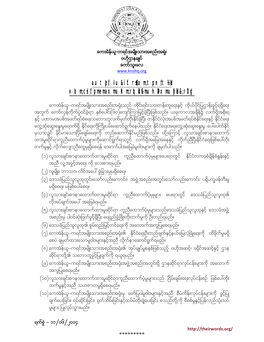### ရက်စွဲ – ၁၁/၀၆/၂၀၁၄ $\,$

- ။<br>ချက်ပေးခြင်း၊ ရပ်ဆိုင်းခြင်း၊ ရုတ်သိမ်းခြင်းနှင့်ထပ်မံတိုးချဲပေးခြင်း စသည်တို့ကို စီစစ်မှုနှင့်ပြန်လည်သုံးသပ် မှုများ ပြုလုပ်သွားမည်။

အကူပြုစေရမည်။ (၁၀)လူသားချင်းစာနာထောက်ထားမှုဆိုင်ရာကူညီထောက်ပံ့မှုများသည် ငြိမ်းချမ်းရေးလုပ်ငန်းစဉ် ဖြစ်ပေါ်တိုး တက်မှုနှင့်အညီ သဟဇာတမှုရှိစေရမည်။

- 
- 

 $\left($ ၉) ကေအဲန်ယူ–ကရင်အမျိုးသားအစည်းအရုံးအဖွဲ့အစည်းအတွင်းရှိ ဌာနဆိုင်ရာလုပ်ငန်းများကို အထောက်

(၁၁)ကေအဲန်ယူ–ကရင်အမျိုးသားအစည်းအရုံးမှ ဖော်ပြပါမူဝါဒများနှင့်အညီ စီမံကိန်းလုပ်ငန်းများကို ခွင့်ပြု

\*\*\*\*\*\*\*\*\*

- $\infty$ တို့၏ သဘောတူခွင့်ပြုချက်ကို ရယူရမည်။
- 
- 
- 
- (၈) ကေအဲန်ယူ–ကရင်အမျိုးသားအစည်းအရုံး၏ အုပ်ချုပ်မှုစနစ်ဖြစ်သည့် ဗဟိုအဆင့်၊ ခရိုင်အဆင့်နှင့် ဌာန
- 
- 
- 
- 
- $\lambda(\gamma)$  ကေအဲန်ယူ–ကရင်အမျိုးသားအစည်းအရုံး၏ နိုင်ငံရေးဦးတည်ချက်နှင့်နယ်မြေလုံခြုံရေးကို ထိခိုက်မှုမရှိ <u>ေ</u><br>စေပဲ ချမှတ်ထားသောမူဝါဒများနှင့်အညီ လိုက်နာဆောင်ရွက်ရမည်။
- အစည်းမှ ပါဝင်ဆုံးဖြတ်ခွင့်ရှိပြီး ရေရှည်ဖွံ့ဖြိုးတိုးတက်မှုကို ဦးတည်ရမည်။  $\left(6\right)$  ဒေသခံပြည်သူလူထု၏ စွမ်းရည်မြှင့်တင်ရေးကို အထောက်အကူပြုစေရမည်။
- လိုအပ်ချက်အပေါ် အခြေခံရမည်။  $\left( 0\right)$  လူသားချင်းစာနာထောက်ထားမှုဆိုင်ရာ ကူညီထောက်ပံ့မှုများသည်ဒေသခံပြည်သူလူထုနှင့် ဒေသခံအဖွဲ့
- မရှိစေရ။ မဖြစ်ပေါ်စေရ။  $\left( \varsigma\right)$  လူသားချင်းစာနာထောက်ထားမှုဆိုင်ရာ ကူညီထောက်ပံ့မှုများ ပေးရာတွင် ဒေသခံပြည်သူလူထု၏
- $\psi(\phi)$  ဒေသခံပြည်သူလူထုတွင်းသော်လည်းကောင်း၊ အဖွဲ့အစည်းအတွင်းသော်လည်းကောင်း ပဋိပက္ခဖန်တီးမှု
- (၂) လူမျိုး၊ ဘာသာ၊ လိင်အပေါ် ခွဲခြားမှုမရှိစေရ။
- (၁) လူသားချင်းစာနာထောက်ထားမှုဆိုင်ရာ ကူညီထောက်ပံ့မှုများပေးရာတွင် နိုင်ငံတကာစံချိန်စံနှန်းနှင့် <u>အညီ လူ့အခွင့်အရေး ကို လေးစားရမည်။</u>

ကေအဲန်ယူ–ကရင်အမျိုးသားအစည်းအရုံးသည် တိုင်းရင်းသားတန်းတူရေးနှင့် ကိုယ်ပိုင်ပြဌာန်းခွင့်ရရှိရေး အတွက် တော်လှန်တိုက်ပွဲဝင်ခဲ့ရာ နှစ်ပေါင်း(၆၀)ကျော်ကြာမြှင့်ခဲ့ပြီးဖြစ်သည်။ ယခုကာလအချိန်၌ လက်ရှိအစိုးရ ္မွာ<br>နှင့် ပဏာမအပစ်အခတ်ရပ်စဲရေးသဘောတူလက်မှတ်ထိုးနိုင်ခဲ့ပြီး တနိုင်ငံလုံးအပစ်အခတ်ရပ်စဲနိုင်ရေးနှင့် နိုင်ငံရေး  $\frac{1}{2}$ တွေ့ဆုံဆွေးနွေးမှုရောက်ရှိ နိုင်ရေးကိုကြိုးပမ်းဆောင်ရွက်နေပါသည်။ နိုင်ငံရေးအရတွေ့ဆုံဆွေးနွေးမှု ပေါ်ပေါက်နိုင် မုသာလျင် နိုင်မာသောငြိမ်းချမ်းရေးကို တည်ဆောက်နိုင်မည်ဖြစ်သည်။ ထို့ကြောင့် လူသားချင်းစာနာထောက် \_<br>ထားမှုဆိုင်ရာကူညီထောက်ပံ့မှုများကိုဆောင်ရွက်ရာတွင် လက်ရှိအခြေအနေနှင့် ကိုက်ညီပြီးနိုင်ငံရေးဖြစ်ပေါ်တိုး တက်မှုနှင့် လိုက်လျှောညီထွေမှုရှိစေရန် အောက်ပါအခြေခံမူဝါဒများကို ချမှတ်ပါသည်။

## autef, lu&iftriom;tpnft\# vlom;csif pmemaxmufxm;rlqili&mulnaxmufyhi&;rDg'